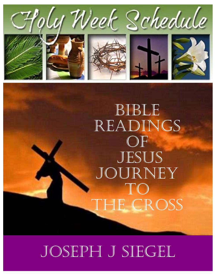

## BiBle Readings **OF** JESUS JoURneY To The CRoss

### JOSEPH J SIEGEL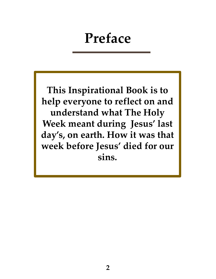### Preface

This Inspirational Book is to help everyone to reflect on and understand what The Holy Week meant during Jesus' last day's, on earth. How it was that week before Jesus' died for our sins.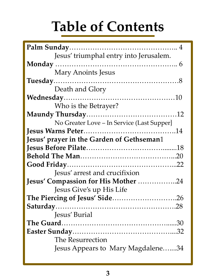# Table of Contents

| Jesus' triumphal entry into Jerusalem.     |
|--------------------------------------------|
|                                            |
| <b>Mary Anoints Jesus</b>                  |
|                                            |
| Death and Glory                            |
|                                            |
| Who is the Betrayer?                       |
|                                            |
| No Greater Love – In Service (Last Supper) |
|                                            |
| Jesus' prayer in the Garden of Gethseman1  |
|                                            |
|                                            |
|                                            |
| Jesus' arrest and crucifixion              |
| <b>Jesus' Compassion for His Mother 24</b> |
| Jesus Give's up His Life                   |
| The Piercing of Jesus' Side26              |
|                                            |
| Jesus' Burial                              |
|                                            |
|                                            |
| The Resurrection                           |
| Jesus Appears to Mary Magdalene34          |
|                                            |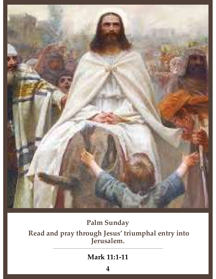

#### Palm Sunday

Read and pray through Jesus' triumphal entry into Jerusalem.

#### Mark 11:1-11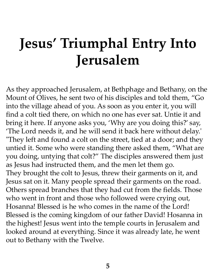# Jesus' Triumphal Entry Into Jerusalem

As they approached Jerusalem, at Bethphage and Bethany, on the Mount of Olives, he sent two of his disciples and told them, "Go into the village ahead of you. As soon as you enter it, you will find a colt tied there, on which no one has ever sat. Untie it and bring it here. If anyone asks you, 'Why are you doing this?' say, 'The Lord needs it, and he will send it back here without delay.' "They left and found a colt on the street, tied at a door; and they untied it. Some who were standing there asked them, "What are you doing, untying that colt?" The disciples answered them just as Jesus had instructed them, and the men let them go. They brought the colt to Jesus, threw their garments on it, and Jesus sat on it. Many people spread their garments on the road. Others spread branches that they had cut from the fields. Those who went in front and those who followed were crying out, Hosanna! Blessed is he who comes in the name of the Lord! Blessed is the coming kingdom of our father David! Hosanna in the highest! Jesus went into the temple courts in Jerusalem and looked around at everything. Since it was already late, he went out to Bethany with the Twelve.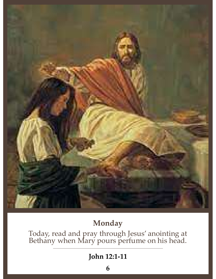

### Monday

Today, read and pray through Jesus' anointing at Bethany when Mary pours perfume on his head.

#### John 12:1-11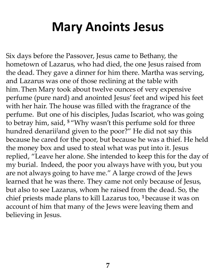### Mary Anoints Jesus

Six days before the Passover, Jesus came to Bethany, the hometown of Lazarus, who had died, the one Jesus raised from **Mary Anoints Jesus**<br>Six days before the Passover, Jesus came to Bethany, the<br>hometown of Lazarus, who had died, the one Jesus raised from<br>the dead. They gave a dinner for him there. Martha was serving,<br>and Lazarus was one and Lazarus was one of those reclining at the table with **Mary Anoints Jesus**<br>Six days before the Passover, Jesus came to Bethany, the<br>hometown of Lazarus, who had died, the one Jesus raised from<br>the dead. They gave a dinner for him there. Martha was serving,<br>and Lazarus was one perfume (pure nard) and anointed Jesus' feet and wiped his feet with her hair. The house was filled with the fragrance of the perfume. But one of his disciples, Judas Iscariot, who was going to betray him, said, <sup>5</sup> "Why wasn't this perfume sold for three Six days before the Passover, Jesus came to Bethany, the<br>hometown of Lazarus, who had died, the one Jesus raised from<br>the dead. They gave a dinner for him there. Martha was serving,<br>and Lazarus was one of those reclining a because he cared for the poor, but because he was a thief. He held the money box and used to steal what was put into it. Jesus replied, "Leave her alone. She intended to keep this for the day of and Lazarus was one of those reclining at the table with<br>him. Then Mary took about twelve ounces of very expensive<br>perfume (pure nard) and anointed Jesus' feet and wiped his feet<br>with her hair. The house was filled with th are not always going to have me." A large crowd of the Jews learned that he was there. They came not only because of Jesus, with her hair. The house was filled with the fragrance of the<br>perfume. But one of his disciples, Judas Iscariot, who was going<br>to betray him, said, <sup>5</sup> "Why wasn't this perfume sold for three<br>hundred denarii<sup>[</sup>and given to chief priests made plans to kill Lazarus too, <sup>1</sup> because it was on account of him that many of the Jews were leaving them and believing in Jesus.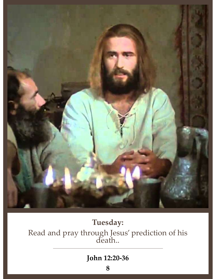

### Tuesday: Read and pray through Jesus' prediction of his death..

#### John 12:20-36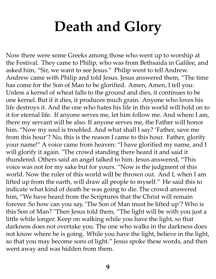# Death and Glory

Now there were some Greeks among those who went up to worship at **Death and Glory**<br>Now there were some Greeks among those who went up to worship at<br>the Festival. They came to Philip, who was from Bethsaida in Galilee, and<br>asked him, "Sir, we want to see Jesus." Philip went to tell Andre **Death and Glory**<br>Now there were some Greeks among those who went up to worship at<br>the Festival. They came to Philip, who was from Bethsaida in Galilee, and<br>asked him, "Sir, we want to see Jesus." Philip went to tell Andre Andrew came with Philip and told Jesus. Jesus answered them, "The time Death and Glory<br>Now there were some Greeks among those who went up to worship at<br>the Festival. They came to Philip, who was from Bethsaida in Galilee, and<br>asked him, "Sir, we want to see Jesus." Philip went to tell Andrew. Unless a kernel of wheat falls to the ground and dies, it continues to be **Death and Glory**<br>Now there were some Greeks among those who went up to worship at<br>the Festival. They came to Philip, who was from Bethsaida in Galilee, and<br>asked him, "Sir, we want to see Jesus." Philip went to tell Andre life destroys it. And the one who hates his life in this world will hold on to **EXECT ATTA CHAT STAT STAT STAT STAT STAT STAT SOUTT SUSP THE THAT ALLOT SUSPEND THAT THE FESTIVAL.** They came to Philip, who was from Bethsaida in Galilee, and asked him, "Sir, we want to see Jesus." Philip went to tell A there my servant will be also. If anyone serves me, the Father will honor Now there were some Greeks among those who went up to worship at<br>the Festival. They came to Philip, who was from Bethsaida in Galilee, and<br>asked him, "Sir, we want to see Jesus." Philip went to tell Andrew.<br>Andrew came wit Now there were some Greeks among those who went up to worship at<br>the Festival. They came to Philip, who was from Bethsaida in Galilee, and<br>asked him, "Sir, we want to see Jesus." Philip went to tell Andrew.<br>Andrew came wit your name!" A voice came from heaven: "I have glorified my name, and I will glorify it again. "The crowd standing there heard it and said it Example The Ware of the South Transmit and the said and the come for the Son of Man to be glorified. Amen, Amen, I tell you: Unless a kernel of wheat falls to the ground and dies, it continues to be one kernel. But if it d voice was not for my sake but for yours. "Now is the judgment of this We see the ruler of wheat falls to the ground and dies, it continues to be one kernel. But if it dies, it produces much grain. Anyone who loves his life destroys it. And the one who hates his life in this world will hold o one kernel. But if it dies, it produces much grain. Anyone who loves his life destroys it. And the one who hates his life in this world will hold on to it for eternal life. If anyone serves me, let him follow me. And where ilie destroys it. And the one who hates his life in this world will hold on to it for eternal life. If anyone serves me, let him follow me. And where I am, there my servant will be also. If anyone serves me, the Father wil him, "We have heard from the Scriptures that the Christ will remain forever. So how can you say, 'The Son of Man must be lifted up'? Who is this Son of Man? "Then Jesus told them, "The light will be with you just a little while longer. Keep on walking while you have the light, so that darkness does not overtake you. The one who walks in the darkness does year manner are worked want are the search when the search will glorify it again. "The crowd standing there heard it and said it thundered. Others said an angel talked to him. Jesus answered, "This voice was not for my sak so that you may become sons of light." Jesus spoke these words, and then went away and was hidden from them.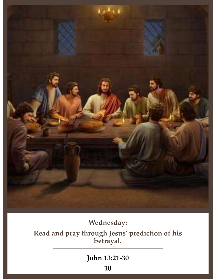

#### Wednesday:

Read and pray through Jesus' prediction of his betrayal.

#### John 13:21-30

10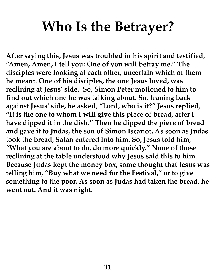## Who Is the Betrayer?

After saying this, Jesus was troubled in his spirit and testified, "Amen, Amen, I tell you: One of you will betray me." The disciples were looking at each other, uncertain which of them he meant. One of his disciples, the one Jesus loved, was reclining at Jesus' side. So, Simon Peter motioned to him to find out which one he was talking about. So, leaning back against Jesus' side, he asked, "Lord, who is it?" Jesus replied, "It is the one to whom I will give this piece of bread, after I have dipped it in the dish." Then he dipped the piece of bread and gave it to Judas, the son of Simon Iscariot. As soon as Judas took the bread, Satan entered into him. So, Jesus told him, "What you are about to do, do more quickly." None of those reclining at the table understood why Jesus said this to him. Because Judas kept the money box, some thought that Jesus was telling him, "Buy what we need for the Festival," or to give something to the poor. As soon as Judas had taken the bread, he went out. And it was night.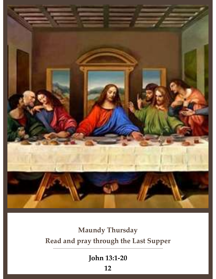

### Maundy Thursday Read and pray through the Last Supper

John 13:1-20

12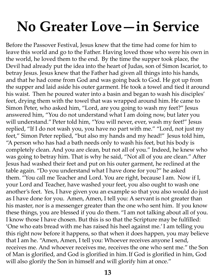# No Greater Love—in Service

Before the Passover Festival, Jesus knew that the time had come for him to leave this world and go to the Father. Having loved those who were his own in the world, he loved them to the end. By the time the supper took place, the Devil had already put the idea into the heart of Judas, son of Simon Iscariot, to betray Jesus. Jesus knew that the Father had given all things into his hands, No Greater Love — in Service<br>Before the Passover Festival, Jesus knew that the time had come for him to<br>leave this world and go to the Father. Having loved those who were his own in<br>the world, he loved them to the end. By the supper and laid aside his outer garment. He took a towel and tied it around No Greater Love — in Service the Passover Festival, Jesus knew that the time had come for him to leave this world and go to the Father. Having loved those who were his own in the world, he loved them to the end. By the tim **No Greater Love — in Service**<br>Before the Passover Festival, Jesus knew that the time had come for him to<br>leave this world and go to the Father. Having loved those who were his own in<br>the world, he loved them to the end. Simon Peter, who asked him, "Lord, are you going to wash my feet?" Jesus answered him, "You do not understand what I am doing now, but later you Before the Passover Festival, Jesus knew that the time had come for him to leave this world and go to the Father. Having loved those who were his own in the world, he loved them to the end. By the time the supper took plac replied, "If I do not wash you, you have no part with me." "Lord, not just my feet," Simon Peter replied, "but also my hands and my head!" Jesus told him, "A person who has had a bath needs only to wash his feet, but his body is Devil had already put the idea into the heart of Judas, son of Simon Iscariot, to<br>betray Jesus. Jesus knew that the Father had given all things into his hands,<br>and that he had come from God and was going back to God. He go was going to betray him. That is why he said, "Not all of you are clean." After Jesus had washed their feet and put on his outer garment, he reclined at the table again. "Do you understand what I have done for you?" he asked his waist. Then he poured water into a basin and began to wash his disciples'<br>feet, drying them with the towel that was wrapped around him. He came to<br>Simon Peter, who asked him, "Lord, are you going to wash my feet?" Jesu your Lord and Teacher, have washed your feet, you also ought to wash one Simon Peter, who asked him, "Lord, are you going to wash my feet?" Jesus<br>answered him, "You do not understand what I am doing now, but later you<br>will understand." Peter told him, "You will never, ever, wash my feet!" Jesus answered him, "You do not understand what I am doing now, but later you<br>will understand." Peter told him, "You will never, ever, wash my feet!" Jesus<br>replied, "If I do not wash you, you have no part with me." "Lord, not ju will understand." Peter told him, "You will never, ever, wash my feet!" Jesus<br>replied, "If I do not wash you, you have no part with me." "Lord, not just my<br>feet," Simon Peter replied, "but also my hands and my head!" Jesus replied, "If I do not wash you, you have no part with me." "Lord, not just my<br>feet," Simon Peter replied, "but also my hands and my head!" Jesus told him,<br>"A person who has had a bath needs only to wash his feet, but his b I know those I have chosen. But this is so that the Scripture may be fulfilled: "A person who has had a bath needs only to wash his feet, but his body is completely clean. And you are clean, but not all of you." Indeed, he knew who was going to betray him. That is why he said, "Not all of you are clea this right now before it happens, so that when it does happen, you may believe that I am he. "Amen, Amen, I tell you: Whoever receives anyone I send, receives me. And whoever receives me, receives the one who sent me." the Son table again. "Do you understand what I have done for you?" he asked<br>them. "You call me Teacher and Lord. You are right, because I am. Now if I,<br>your Lord and Teacher, have washed your feet, you also ought to wash one<br>anoth will also glorify the Son in himself and will glorify him at once."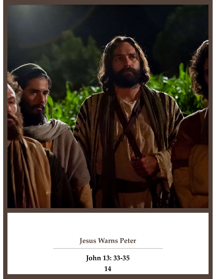

### Jesus Warns Peter

John 13: 33-35

14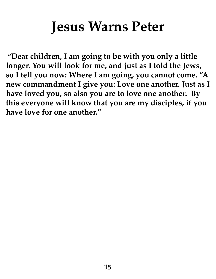## Jesus Warns Peter

"Dear children, I am going to be with you only a little longer. You will look for me, and just as I told the Jews, so I tell you now: Where I am going, you cannot come. "A new commandment I give you: Love one another. Just as I have loved you, so also you are to love one another. By this everyone will know that you are my disciples, if you have love for one another."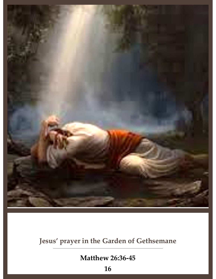

### Jesus' prayer in the Garden of Gethsemane

Matthew 26:36-45

16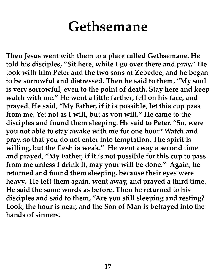### Gethsemane

Then Jesus went with them to a place called Gethsemane. He told his disciples, "Sit here, while I go over there and pray." He took with him Peter and the two sons of Zebedee, and he began to be sorrowful and distressed. Then he said to them, "My soul is very sorrowful, even to the point of death. Stay here and keep **Gethsemane**<br>Then Jesus went with them to a place called Gethsemane. He<br>told his disciples, "Sit here, while I go over there and pray." He<br>took with him Peter and the two sons of Zebedee, and he began<br>to be sorrowful and d prayed. He said, "My Father, if it is possible, let this cup pass from me. Yet not as I will, but as you will." He came to the disciples and found them sleeping. He said to Peter, "So, were you not able to stay awake with me for one hour? Watch and pray, so that you do not enter into temptation. The spirit is willing, but the flesh is weak." He went away a second time and prayed, "My Father, if it is not possible for this cup to pass from me unless I drink it, may your will be done." Again, he returned and found them sleeping, because their eyes were heavy. He left them again, went away, and prayed a third time. He said the same words as before. Then he returned to his disciples and said to them, "Are you still sleeping and resting? Look, the hour is near, and the Son of Man is betrayed into the hands of sinners.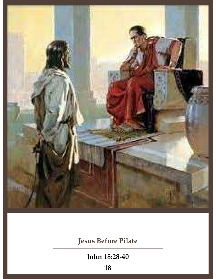

Jesus Before Pilate

John 18:28-40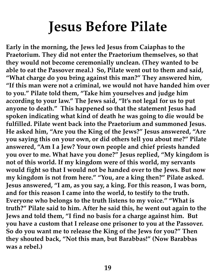## Jesus Before Pilate

Early in the morning, the Jews led Jesus from Caiaphas to the Praetorium. They did not enter the Praetorium themselves, so that they would not become ceremonially unclean. (They wanted to be able to eat the Passover meal.) So, Pilate went out to them and said, "What charge do you bring against this man?" They answered him, "If this man were not a criminal, we would not have handed him over to you." Pilate told them, "Take him yourselves and judge him **Jesus Before Pilate**<br>Early in the morning, the Jews led Jesus from Caiaphas to the<br>Praetorium. They did not enter the Praetorium themselves, so that<br>they would not become ceremonially unclean. (They wanted to be<br>able to e anyone to death." This happened so that the statement Jesus had spoken indicating what kind of death he was going to die would be fulfilled. Pilate went back into the Praetorium and summoned Jesus. He asked him, "Are you the King of the Jews?" Jesus answered, "Are you saying this on your own, or did others tell you about me?" Pilate answered, "Am I a Jew? Your own people and chief priests handed you over to me. What have you done?" Jesus replied, "My kingdom is not of this world. If my kingdom were of this world, my servants would fight so that I would not be handed over to the Jews. But now my kingdom is not from here." "You, are a king then?" Pilate asked. Jesus answered, "I am, as you say, a king. For this reason, I was born, and for this reason I came into the world, to testify to the truth. Everyone who belongs to the truth listens to my voice." "What is truth?" Pilate said to him. After he said this, he went out again to the Jews and told them, "I find no basis for a charge against him. But you have a custom that I release one prisoner to you at the Passover. So do you want me to release the King of the Jews for you?" Then they shouted back, "Not this man, but Barabbas!" (Now Barabbas was a rebel.)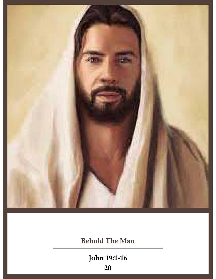

Behold The Man

John 19:1-16

20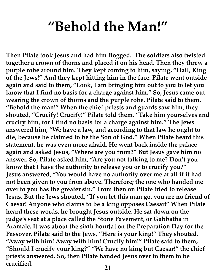### "Behold the Man!"

Then Pilate took Jesus and had him flogged. The soldiers also twisted together a crown of thorns and placed it on his head. Then they threw a purple robe around him. They kept coming to him, saying, "Hail, King of the Jews!" And they kept hitting him in the face. Pilate went outside again and said to them, "Look, I am bringing him out to you to let you know that I find no basis for a charge against him." So, Jesus came out wearing the crown of thorns and the purple robe. Pilate said to them, "Behold the man!" When the chief priests and guards saw him, they shouted, "Crucify! Crucify!" Pilate told them, "Take him yourselves and crucify him, for I find no basis for a charge against him." The Jews answered him, "We have a law, and according to that law he ought to die, because he claimed to be the Son of God." When Pilate heard this statement, he was even more afraid. He went back inside the palace again and asked Jesus, "Where are you from?" But Jesus gave him no answer. So, Pilate asked him, "Are you not talking to me? Don't you know that I have the authority to release you or to crucify you?" Jesus answered, "You would have no authority over me at all if it had not been given to you from above. Therefore; the one who handed me over to you has the greater sin." From then on Pilate tried to release Jesus. But the Jews shouted, "If you let this man go, you are no friend of Caesar! Anyone who claims to be a king opposes Caesar!" When Pilate heard these words, he brought Jesus outside. He sat down on the judge's seat at a place called the Stone Pavement, or Gabbatha in Aramaic. It was about the sixth hour[a] on the Preparation Day for the Passover. Pilate said to the Jews, "Here is your king!" They shouted, "Away with him! Away with him! Crucify him!" Pilate said to them, "Should I crucify your king?" "We have no king but Caesar!" the chief priests answered. So, then Pilate handed Jesus over to them to be crucified. <sup>21</sup>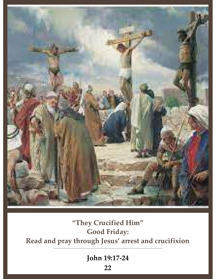

### "They Crucified Him" Good Friday: Read and pray through Jesus' arrest and crucifixion.

John 19:17-24

22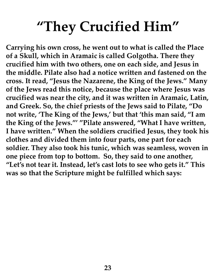## "They Crucified Him"

Carrying his own cross, he went out to what is called the Place of a Skull, which in Aramaic is called Golgotha. There they crucified him with two others, one on each side, and Jesus in the middle. Pilate also had a notice written and fastened on the cross. It read, "Jesus the Nazarene, the King of the Jews." Many of the Jews read this notice, because the place where Jesus was crucified was near the city, and it was written in Aramaic, Latin, and Greek. So, the chief priests of the Jews said to Pilate, "Do not write, 'The King of the Jews,' but that 'this man said, "I am the King of the Jews."' "Pilate answered, "What I have written, I have written." When the soldiers crucified Jesus, they took his clothes and divided them into four parts, one part for each soldier. They also took his tunic, which was seamless, woven in one piece from top to bottom. So, they said to one another, "Let's not tear it. Instead, let's cast lots to see who gets it." This was so that the Scripture might be fulfilled which says: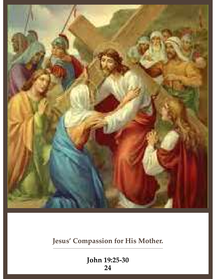

### Jesus' Compassion for His Mother.

John 19:25-30 24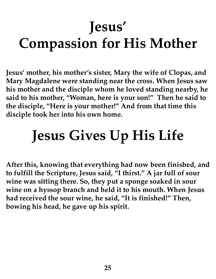# Jesus' Compassion for His Mother

Jesus' mother, his mother's sister, Mary the wife of Clopas, and Mary Magdalene were standing near the cross. When Jesus saw his mother and the disciple whom he loved standing nearby, he said to his mother, "Woman, here is your son!" Then he said to the disciple, "Here is your mother!" And from that time this disciple took her into his own home.

# Jesus Gives Up His Life

After this, knowing that everything had now been finished, and to fulfill the Scripture, Jesus said, "I thirst." A jar full of sour wine was sitting there. So, they put a sponge soaked in sour wine on a hyssop branch and held it to his mouth. When Jesus had received the sour wine, he said, "It is finished!" Then, bowing his head, he gave up his spirit.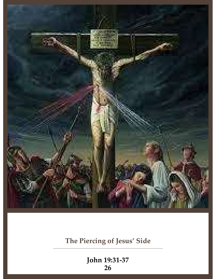

The Piercing of Jesus' Side

John 19:31-37 26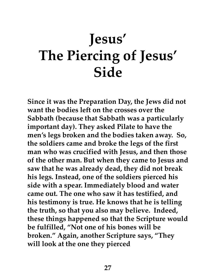# Jesus' The Piercing of Jesus' Side

Since it was the Preparation Day, the Jews did not want the bodies left on the crosses over the Sabbath (because that Sabbath was a particularly important day). They asked Pilate to have the men's legs broken and the bodies taken away. So, the soldiers came and broke the legs of the first man who was crucified with Jesus, and then those of the other man. But when they came to Jesus and saw that he was already dead, they did not break his legs. Instead, one of the soldiers pierced his side with a spear. Immediately blood and water came out. The one who saw it has testified, and his testimony is true. He knows that he is telling the truth, so that you also may believe. Indeed, these things happened so that the Scripture would be fulfilled, "Not one of his bones will be broken." Again, another Scripture says, "They will look at the one they pierced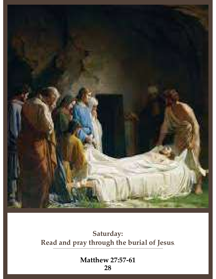

Saturday: Read and pray through the burial of Jesus.

> Matthew 27:57-61 28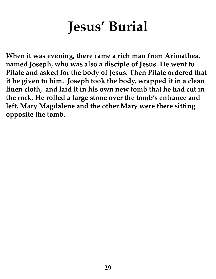# Jesus' Burial

When it was evening, there came a rich man from Arimathea, named Joseph, who was also a disciple of Jesus. He went to Pilate and asked for the body of Jesus. Then Pilate ordered that it be given to him. Joseph took the body, wrapped it in a clean linen cloth, and laid it in his own new tomb that he had cut in the rock. He rolled a large stone over the tomb's entrance and left. Mary Magdalene and the other Mary were there sitting opposite the tomb.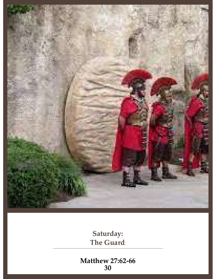

Saturday: The Guard.

Matthew 27:62-66 30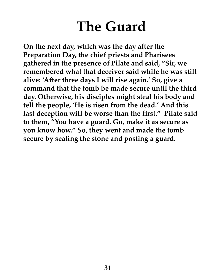## The Guard

On the next day, which was the day after the Preparation Day, the chief priests and Pharisees gathered in the presence of Pilate and said, "Sir, we remembered what that deceiver said while he was still alive: 'After three days I will rise again.' So, give a command that the tomb be made secure until the third day. Otherwise, his disciples might steal his body and tell the people, 'He is risen from the dead.' And this last deception will be worse than the first." Pilate said to them, "You have a guard. Go, make it as secure as you know how." So, they went and made the tomb secure by sealing the stone and posting a guard.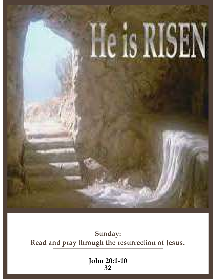

### Sunday: Read and pray through the resurrection of Jesus..

John 20:1-10 32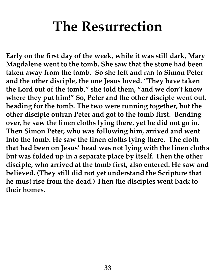## The Resurrection

Early on the first day of the week, while it was still dark, Mary Magdalene went to the tomb. She saw that the stone had been taken away from the tomb. So she left and ran to Simon Peter and the other disciple, the one Jesus loved. "They have taken the Lord out of the tomb," she told them, "and we don't know where they put him!" So, Peter and the other disciple went out, heading for the tomb. The two were running together, but the other disciple outran Peter and got to the tomb first. Bending over, he saw the linen cloths lying there, yet he did not go in. Then Simon Peter, who was following him, arrived and went into the tomb. He saw the linen cloths lying there. The cloth that had been on Jesus' head was not lying with the linen cloths but was folded up in a separate place by itself. Then the other disciple, who arrived at the tomb first, also entered. He saw and believed. (They still did not yet understand the Scripture that he must rise from the dead.) Then the disciples went back to their homes.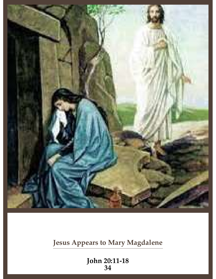

Jesus Appears to Mary Magdalene

John 20:11-18 34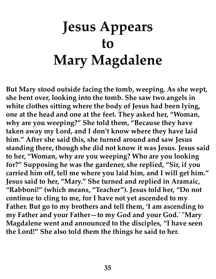# Jesus Appears to Mary Magdalene

But Mary stood outside facing the tomb, weeping. As she wept, she bent over, looking into the tomb. She saw two angels in white clothes sitting where the body of Jesus had been lying, one at the head and one at the feet. They asked her, "Woman, why are you weeping?" She told them, "Because they have taken away my Lord, and I don't know where they have laid him." After she said this, she turned around and saw Jesus standing there, though she did not know it was Jesus. Jesus said to her, "Woman, why are you weeping? Who are you looking for?" Supposing he was the gardener, she replied, "Sir, if you carried him off, tell me where you laid him, and I will get him." Jesus said to her, "Mary." She turned and replied in Aramaic, "Rabboni!" (which means, "Teacher"). Jesus told her, "Do not continue to cling to me, for I have not yet ascended to my Father. But go to my brothers and tell them, 'I am ascending to my Father and your Father—to my God and your God.' "Mary Magdalene went and announced to the disciples, "I have seen the Lord!" She also told them the things he said to her.